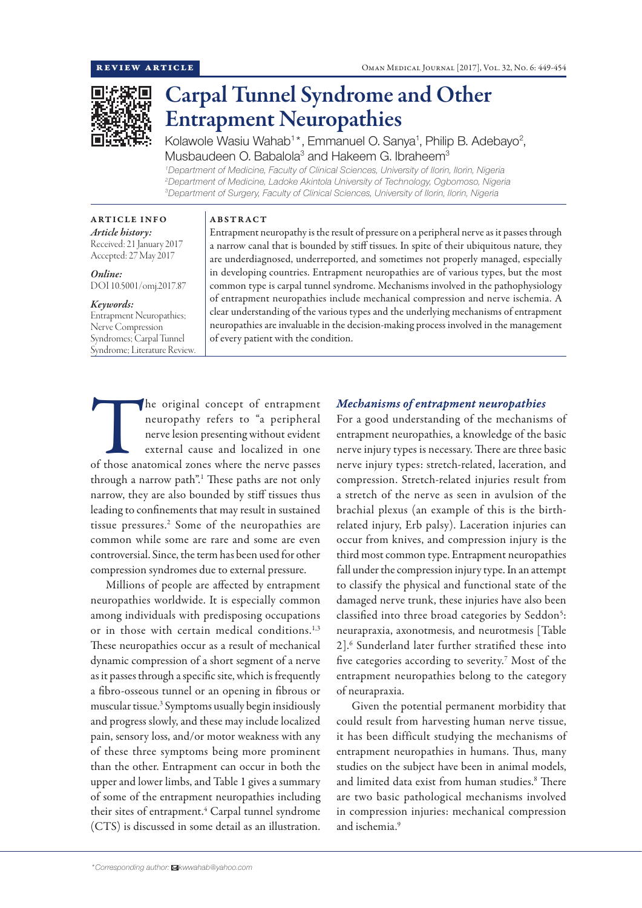

# Carpal Tunnel Syndrome and Other Entrapment Neuropathies

Kolawole Wasiu Wahab<sup>1\*</sup>, Emmanuel O. Sanya<sup>1</sup>, Philip B. Adebayo<sup>2</sup>, Musbaudeen O. Babalola<sup>3</sup> and Hakeem G. Ibraheem<sup>3</sup>

*1 Department of Medicine, Faculty of Clinical Sciences, University of Ilorin, Ilorin, Nigeria 2 Department of Medicine, Ladoke Akintola University of Technology, Ogbomoso, Nigeria 3 Department of Surgery, Faculty of Clinical Sciences, University of Ilorin, Ilorin, Nigeria*

#### ARTICLE INFO

#### ABSTRACT

*Article history:* Received: 21 January 2017 Accepted: 27 May 2017

*Online:* DOI 10.5001/omj.2017.87

#### *Keywords:*

Entrapment Neuropathies; Nerve Compression Syndromes; Carpal Tunnel Syndrome; Literature Review. Entrapment neuropathy is the result of pressure on a peripheral nerve as it passes through a narrow canal that is bounded by stiff tissues. In spite of their ubiquitous nature, they are underdiagnosed, underreported, and sometimes not properly managed, especially in developing countries. Entrapment neuropathies are of various types, but the most common type is carpal tunnel syndrome. Mechanisms involved in the pathophysiology of entrapment neuropathies include mechanical compression and nerve ischemia. A clear understanding of the various types and the underlying mechanisms of entrapment neuropathies are invaluable in the decision-making process involved in the management of every patient with the condition.

The original concept of entrapment<br>
neuropathy refers to "a peripheral<br>
nerve lesion presenting without evident<br>
external cause and localized in one<br>
of those anatomical zones where the nerve passes neuropathy refers to "a peripheral nerve lesion presenting without evident external cause and localized in one through a narrow path".<sup>1</sup> These paths are not only narrow, they are also bounded by stiff tissues thus leading to confinements that may result in sustained tissue pressures.<sup>2</sup> Some of the neuropathies are common while some are rare and some are even controversial. Since, the term has been used for other compression syndromes due to external pressure.

Millions of people are affected by entrapment neuropathies worldwide. It is especially common among individuals with predisposing occupations or in those with certain medical conditions.<sup>1,3</sup> These neuropathies occur as a result of mechanical dynamic compression of a short segment of a nerve as it passes through a specific site, which is frequently a fibro-osseous tunnel or an opening in fibrous or muscular tissue.3 Symptoms usually begin insidiously and progress slowly, and these may include localized pain, sensory loss, and/or motor weakness with any of these three symptoms being more prominent than the other. Entrapment can occur in both the upper and lower limbs, and Table 1 gives a summary of some of the entrapment neuropathies including their sites of entrapment.<sup>4</sup> Carpal tunnel syndrome (CTS) is discussed in some detail as an illustration.

## *Mechanisms of entrapment neuropathies*

For a good understanding of the mechanisms of entrapment neuropathies, a knowledge of the basic nerve injury types is necessary. There are three basic nerve injury types: stretch-related, laceration, and compression. Stretch-related injuries result from a stretch of the nerve as seen in avulsion of the brachial plexus (an example of this is the birthrelated injury, Erb palsy). Laceration injuries can occur from knives, and compression injury is the third most common type. Entrapment neuropathies fall under the compression injury type. In an attempt to classify the physical and functional state of the damaged nerve trunk, these injuries have also been classified into three broad categories by Seddon<sup>5</sup>: neurapraxia, axonotmesis, and neurotmesis [Table 2].6 Sunderland later further stratified these into five categories according to severity.<sup>7</sup> Most of the entrapment neuropathies belong to the category of neurapraxia.

Given the potential permanent morbidity that could result from harvesting human nerve tissue, it has been difficult studying the mechanisms of entrapment neuropathies in humans. Thus, many studies on the subject have been in animal models, and limited data exist from human studies.<sup>8</sup> There are two basic pathological mechanisms involved in compression injuries: mechanical compression and ischemia.9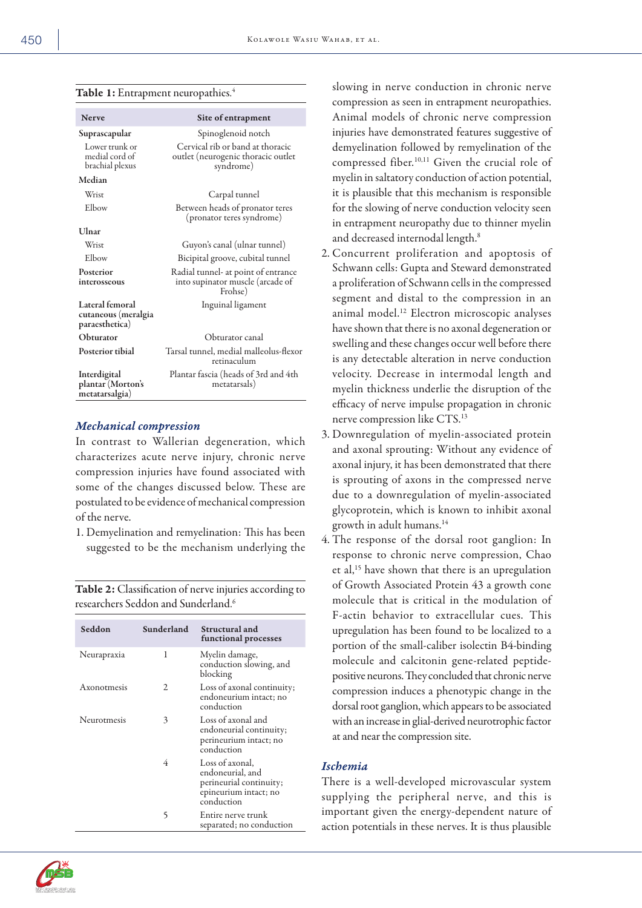|  |  |  | Table 1: Entrapment neuropathies.4 |  |
|--|--|--|------------------------------------|--|
|--|--|--|------------------------------------|--|

| <b>Nerve</b>                                             | Site of entrapment                                                                  |
|----------------------------------------------------------|-------------------------------------------------------------------------------------|
| Suprascapular                                            | Spinoglenoid notch                                                                  |
| Lower trunk or<br>medial cord of<br>brachial plexus      | Cervical rib or band at thoracic<br>outlet (neurogenic thoracic outlet<br>syndrome) |
| Median                                                   |                                                                                     |
| Wrist                                                    | Carpal tunnel                                                                       |
| Elbow                                                    | Between heads of pronator teres<br>(pronator teres syndrome)                        |
| Ulnar                                                    |                                                                                     |
| Wrist                                                    | Guyon's canal (ulnar tunnel)                                                        |
| Elbow                                                    | Bicipital groove, cubital tunnel                                                    |
| Posterior<br>interosseous                                | Radial tunnel- at point of entrance<br>into supinator muscle (arcade of<br>Frohse)  |
| Lateral femoral<br>cutaneous (meralgia<br>paraesthetica) | Inguinal ligament                                                                   |
| Obturator                                                | Obturator canal                                                                     |
| <b>Posterior tibial</b>                                  | Tarsal tunnel, medial malleolus-flexor<br>retinaculum                               |
| Interdigital<br>plantar (Morton's<br>metatarsalgia)      | Plantar fascia (heads of 3rd and 4th<br>metatarsals)                                |

#### *Mechanical compression*

In contrast to Wallerian degeneration, which characterizes acute nerve injury, chronic nerve compression injuries have found associated with some of the changes discussed below. These are postulated to be evidence of mechanical compression of the nerve.

1. Demyelination and remyelination: This has been suggested to be the mechanism underlying the

Table 2: Classification of nerve injuries according to researchers Seddon and Sunderland.6

| Seddon      | Sunderland | Structural and<br>functional processes                                                                |
|-------------|------------|-------------------------------------------------------------------------------------------------------|
| Neurapraxia | 1          | Myelin damage,<br>conduction slowing, and<br>blocking                                                 |
| Axonotmesis | 2          | Loss of axonal continuity;<br>endoneurium intact; no<br>conduction                                    |
| Neurotmesis | 3          | Loss of axonal and<br>endoneurial continuity;<br>perineurium intact; no<br>conduction                 |
|             | 4          | Loss of axonal,<br>endoneurial, and<br>perineurial continuity;<br>epineurium intact; no<br>conduction |
|             | 5          | Entire nerve trunk<br>separated; no conduction                                                        |

slowing in nerve conduction in chronic nerve compression as seen in entrapment neuropathies. Animal models of chronic nerve compression injuries have demonstrated features suggestive of demyelination followed by remyelination of the compressed fiber.<sup>10,11</sup> Given the crucial role of myelin in saltatory conduction of action potential, it is plausible that this mechanism is responsible for the slowing of nerve conduction velocity seen in entrapment neuropathy due to thinner myelin and decreased internodal length.<sup>8</sup>

- 2. Concurrent proliferation and apoptosis of Schwann cells: Gupta and Steward demonstrated a proliferation of Schwann cells in the compressed segment and distal to the compression in an animal model.12 Electron microscopic analyses have shown that there is no axonal degeneration or swelling and these changes occur well before there is any detectable alteration in nerve conduction velocity. Decrease in intermodal length and myelin thickness underlie the disruption of the efficacy of nerve impulse propagation in chronic nerve compression like CTS.13
- 3. Downregulation of myelin-associated protein and axonal sprouting: Without any evidence of axonal injury, it has been demonstrated that there is sprouting of axons in the compressed nerve due to a downregulation of myelin-associated glycoprotein, which is known to inhibit axonal growth in adult humans.14
- 4. The response of the dorsal root ganglion: In response to chronic nerve compression, Chao et al,15 have shown that there is an upregulation of Growth Associated Protein 43 a growth cone molecule that is critical in the modulation of F-actin behavior to extracellular cues. This upregulation has been found to be localized to a portion of the small-caliber isolectin B4-binding molecule and calcitonin gene-related peptidepositive neurons. They concluded that chronic nerve compression induces a phenotypic change in the dorsal root ganglion, which appears to be associated with an increase in glial-derived neurotrophic factor at and near the compression site.

## *Ischemia*

There is a well-developed microvascular system supplying the peripheral nerve, and this is important given the energy-dependent nature of action potentials in these nerves. It is thus plausible

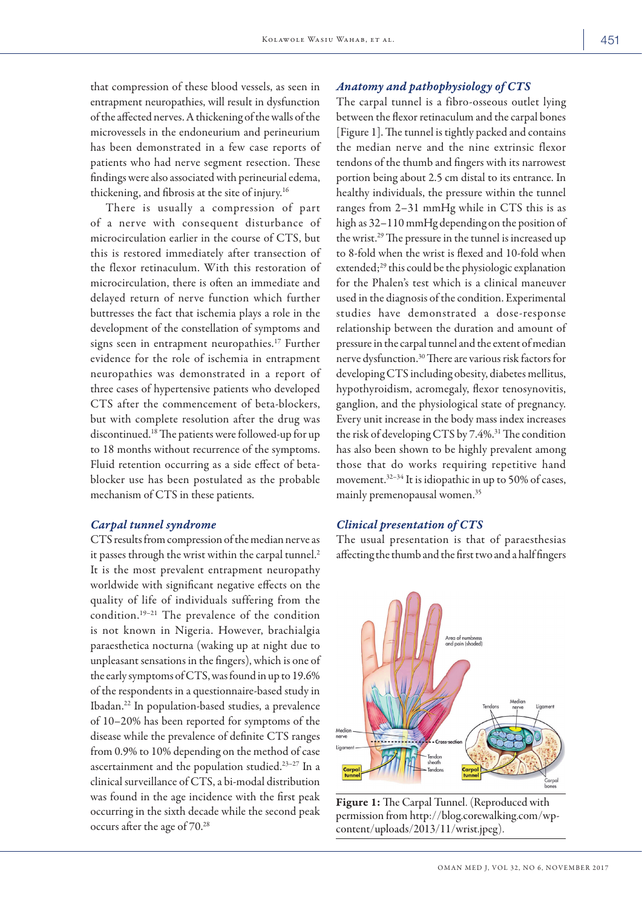that compression of these blood vessels, as seen in entrapment neuropathies, will result in dysfunction of the affected nerves. A thickening of the walls of the microvessels in the endoneurium and perineurium has been demonstrated in a few case reports of patients who had nerve segment resection. These findings were also associated with perineurial edema, thickening, and fibrosis at the site of injury.16

There is usually a compression of part of a nerve with consequent disturbance of microcirculation earlier in the course of CTS, but this is restored immediately after transection of the flexor retinaculum. With this restoration of microcirculation, there is often an immediate and delayed return of nerve function which further buttresses the fact that ischemia plays a role in the development of the constellation of symptoms and signs seen in entrapment neuropathies.<sup>17</sup> Further evidence for the role of ischemia in entrapment neuropathies was demonstrated in a report of three cases of hypertensive patients who developed CTS after the commencement of beta-blockers, but with complete resolution after the drug was discontinued.18 The patients were followed-up for up to 18 months without recurrence of the symptoms. Fluid retention occurring as a side effect of betablocker use has been postulated as the probable mechanism of CTS in these patients.

#### *Carpal tunnel syndrome*

CTS results from compression of the median nerve as it passes through the wrist within the carpal tunnel.<sup>2</sup> It is the most prevalent entrapment neuropathy worldwide with significant negative effects on the quality of life of individuals suffering from the condition.19–21 The prevalence of the condition is not known in Nigeria. However, brachialgia paraesthetica nocturna (waking up at night due to unpleasant sensations in the fingers), which is one of the early symptoms of CTS, was found in up to 19.6% of the respondents in a questionnaire-based study in Ibadan.22 In population-based studies, a prevalence of 10–20% has been reported for symptoms of the disease while the prevalence of definite CTS ranges from 0.9% to 10% depending on the method of case ascertainment and the population studied.23–27 In a clinical surveillance of CTS, a bi-modal distribution was found in the age incidence with the first peak occurring in the sixth decade while the second peak occurs after the age of 70.28

## *Anatomy and pathophysiology of CTS*

The carpal tunnel is a fibro-osseous outlet lying between the flexor retinaculum and the carpal bones [Figure 1]. The tunnel is tightly packed and contains the median nerve and the nine extrinsic flexor tendons of the thumb and fingers with its narrowest portion being about 2.5 cm distal to its entrance. In healthy individuals, the pressure within the tunnel ranges from 2–31 mmHg while in CTS this is as high as  $32-110$  mmHg depending on the position of the wrist.29 The pressure in the tunnel is increased up to 8-fold when the wrist is flexed and 10-fold when extended;<sup>29</sup> this could be the physiologic explanation for the Phalen's test which is a clinical maneuver used in the diagnosis of the condition. Experimental studies have demonstrated a dose-response relationship between the duration and amount of pressure in the carpal tunnel and the extent of median nerve dysfunction.30 There are various risk factors for developing CTS including obesity, diabetes mellitus, hypothyroidism, acromegaly, flexor tenosynovitis, ganglion, and the physiological state of pregnancy. Every unit increase in the body mass index increases the risk of developing CTS by 7.4%.<sup>31</sup> The condition has also been shown to be highly prevalent among those that do works requiring repetitive hand movement.<sup>32-34</sup> It is idiopathic in up to 50% of cases, mainly premenopausal women.35

## *Clinical presentation of CTS*

The usual presentation is that of paraesthesias affecting the thumb and the first two and a half fingers



Figure 1: The Carpal Tunnel. (Reproduced with permission from http://blog.corewalking.com/wpcontent/uploads/2013/11/wrist.jpeg).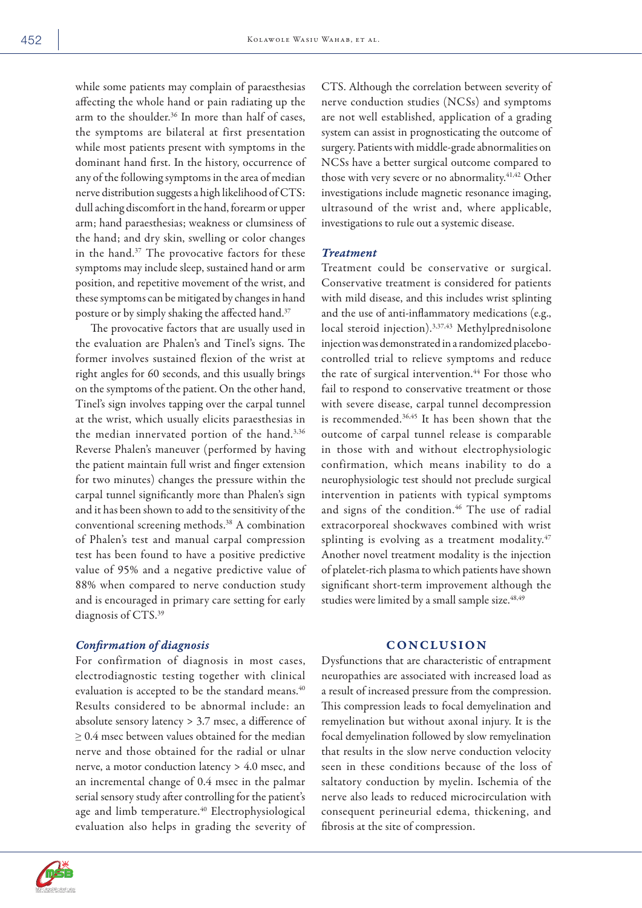while some patients may complain of paraesthesias affecting the whole hand or pain radiating up the arm to the shoulder.<sup>36</sup> In more than half of cases, the symptoms are bilateral at first presentation while most patients present with symptoms in the dominant hand first. In the history, occurrence of any of the following symptoms in the area of median nerve distribution suggests a high likelihood of CTS: dull aching discomfort in the hand, forearm or upper arm; hand paraesthesias; weakness or clumsiness of the hand; and dry skin, swelling or color changes in the hand.37 The provocative factors for these symptoms may include sleep, sustained hand or arm position, and repetitive movement of the wrist, and these symptoms can be mitigated by changes in hand posture or by simply shaking the affected hand.37

The provocative factors that are usually used in the evaluation are Phalen's and Tinel's signs. The former involves sustained flexion of the wrist at right angles for 60 seconds, and this usually brings on the symptoms of the patient. On the other hand, Tinel's sign involves tapping over the carpal tunnel at the wrist, which usually elicits paraesthesias in the median innervated portion of the hand.<sup>3,36</sup> Reverse Phalen's maneuver (performed by having the patient maintain full wrist and finger extension for two minutes) changes the pressure within the carpal tunnel significantly more than Phalen's sign and it has been shown to add to the sensitivity of the conventional screening methods.38 A combination of Phalen's test and manual carpal compression test has been found to have a positive predictive value of 95% and a negative predictive value of 88% when compared to nerve conduction study and is encouraged in primary care setting for early diagnosis of CTS.39

# *Confirmation of diagnosis*

For confirmation of diagnosis in most cases, electrodiagnostic testing together with clinical evaluation is accepted to be the standard means.<sup>40</sup> Results considered to be abnormal include: an absolute sensory latency > 3.7 msec, a difference of ≥ 0.4 msec between values obtained for the median nerve and those obtained for the radial or ulnar nerve, a motor conduction latency > 4.0 msec, and an incremental change of 0.4 msec in the palmar serial sensory study after controlling for the patient's age and limb temperature.<sup>40</sup> Electrophysiological evaluation also helps in grading the severity of CTS. Although the correlation between severity of nerve conduction studies (NCSs) and symptoms are not well established, application of a grading system can assist in prognosticating the outcome of surgery. Patients with middle-grade abnormalities on NCSs have a better surgical outcome compared to those with very severe or no abnormality.<sup>41,42</sup> Other investigations include magnetic resonance imaging, ultrasound of the wrist and, where applicable, investigations to rule out a systemic disease.

# *Treatment*

Treatment could be conservative or surgical. Conservative treatment is considered for patients with mild disease, and this includes wrist splinting and the use of anti-inflammatory medications (e.g., local steroid injection).3,37,43 Methylprednisolone injection was demonstrated in a randomized placebocontrolled trial to relieve symptoms and reduce the rate of surgical intervention.<sup>44</sup> For those who fail to respond to conservative treatment or those with severe disease, carpal tunnel decompression is recommended.36,45 It has been shown that the outcome of carpal tunnel release is comparable in those with and without electrophysiologic confirmation, which means inability to do a neurophysiologic test should not preclude surgical intervention in patients with typical symptoms and signs of the condition.<sup>46</sup> The use of radial extracorporeal shockwaves combined with wrist splinting is evolving as a treatment modality.<sup>47</sup> Another novel treatment modality is the injection of platelet-rich plasma to which patients have shown significant short-term improvement although the studies were limited by a small sample size.<sup>48,49</sup>

# **CONCLUSION**

Dysfunctions that are characteristic of entrapment neuropathies are associated with increased load as a result of increased pressure from the compression. This compression leads to focal demyelination and remyelination but without axonal injury. It is the focal demyelination followed by slow remyelination that results in the slow nerve conduction velocity seen in these conditions because of the loss of saltatory conduction by myelin. Ischemia of the nerve also leads to reduced microcirculation with consequent perineurial edema, thickening, and fibrosis at the site of compression.

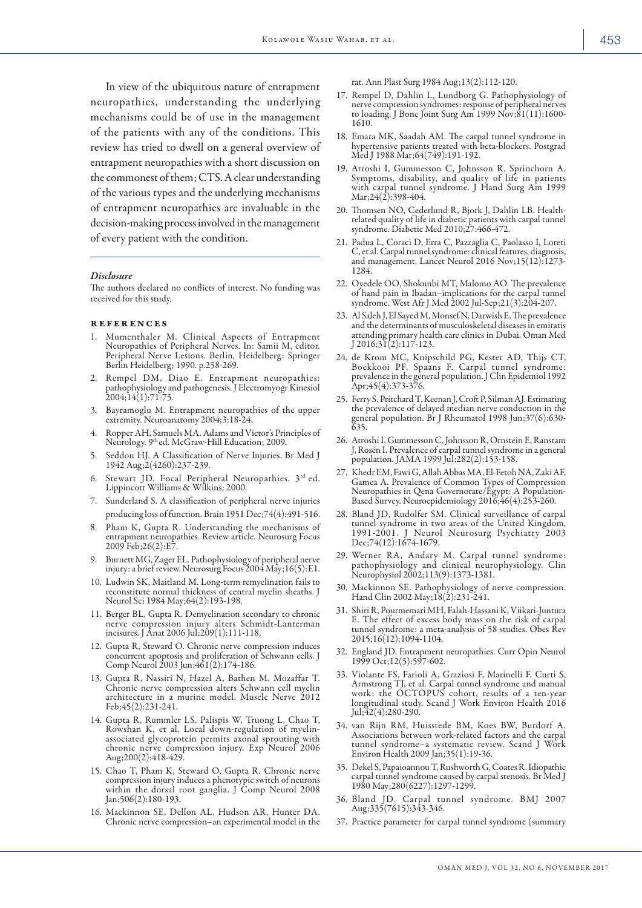In view of the ubiquitous nature of entrapment neuropathies, understanding the underlying mechanisms could be of use in the management of the patients with any of the conditions. This review has tried to dwell on a general overview of entrapment neuropathies with a short discussion on the commonest of them; CTS. A clear understanding of the various types and the underlying mechanisms of entrapment neuropathies are invaluable in the decision-making process involved in the management of every patient with the condition.

#### *Disclosure*

The authors declared no conflicts of interest. No funding was received for this study.

#### **REFERENCES**

- 1. Mumenthaler M. Clinical Aspects of Entrapment Neuropathies of Peripheral Nerves. In: Samii M, editor. Peripheral Nerve Lesions. Berlin, Heidelberg: Springer Berlin Heidelberg; 1990. p.258-269.
- 2. Rempel DM, Diao E. Entrapment neuropathies: pathophysiology and pathogenesis. J Electromyogr Kinesiol 2004;14(1):71-75.
- 3. Bayramoglu M. Entrapment neuropathies of the upper extremity. Neuroanatomy 2004;3:18-24.
- 4. Ropper AH, Samuels MA. Adams and Victor's Principles of Neurology. 9th ed. McGraw-Hill Education; 2009.
- 5. Seddon HJ. A Classification of Nerve Injuries. Br Med J 1942 Aug;2(4260):237-239.
- Stewart JD. Focal Peripheral Neuropathies. 3rd ed. Lippincott Williams & Wilkins; 2000.
- 7. Sunderland S. A classification of peripheral nerve injuries producing loss of function. Brain 1951 Dec;74(4):491-516.
- 8. Pham K, Gupta R. Understanding the mechanisms of entrapment neuropathies. Review article. Neurosurg Focus 2009 Feb;26(2):E7.
- 9. Burnett MG, Zager EL. Pathophysiology of peripheral nerve injury: a brief review. Neurosurg Focus 2004 May;16(5):E1.
- 10. Ludwin SK, Maitland M. Long-term remyelination fails to reconstitute normal thickness of central myelin sheaths. J Neurol Sci 1984 May;64(2):193-198.
- 11. Berger BL, Gupta R. Demyelination secondary to chronic nerve compression injury alters Schmidt-Lanterman incisures. J Anat 2006 Jul;209(1):111-118.
- 12. Gupta R, Steward O. Chronic nerve compression induces concurrent apoptosis and proliferation of Schwann cells. J Comp Neurol 2003 Jun;461(2):174-186.
- 13. Gupta R, Nassiri N, Hazel A, Bathen M, Mozaffar T. Chronic nerve compression alters Schwann cell myelin architecture in a murine model. Muscle Nerve 2012 Feb;45(2):231-241.
- 14. Gupta R, Rummler LS, Palispis W, Truong L, Chao T, Rowshan K, et al. Local down-regulation of myelinassociated glycoprotein permits axonal sprouting with chronic nerve compression injury. Exp Neurol 2006 Aug;200(2):418-429.
- 15. Chao T, Pham K, Steward O, Gupta R. Chronic nerve compression injury induces a phenotypic switch of neurons within the dorsal root ganglia. J Comp Neurol 2008 Jan;506(2):180-193.
- 16. Mackinnon SE, Dellon AL, Hudson AR, Hunter DA. Chronic nerve compression–an experimental model in the

rat. Ann Plast Surg 1984 Aug;13(2):112-120.

- 17. Rempel D, Dahlin L, Lundborg G. Pathophysiology of nerve compression syndromes: response of peripheral nerves to loading. J Bone Joint Surg Am 1999 Nov;81(11):1600- 1610.
- 18. Emara MK, Saadah AM. The carpal tunnel syndrome in hypertensive patients treated with beta-blockers. Postgrad Med J 1988 Mar;64(749):191-192.
- 19. Atroshi I, Gummesson C, Johnsson R, Sprinchorn A. Symptoms, disability, and quality of life in patients with carpal tunnel syndrome. J Hand Surg Am 1999 Mar; 24(2): 398-404.
- 20. Thomsen NO, Cederlund R, Bjork J, Dahlin LB. Healthrelated quality of life in diabetic patients with carpal tunnel syndrome. Diabetic Med 2010;27:466-472.
- 21. Padua L, Coraci D, Erra C, Pazzaglia C, Paolasso I, Loreti C, et al. Carpal tunnel syndrome: clinical features, diagnosis, and management. Lancet Neurol 2016 Nov;15(12):1273- 1284.
- 22. Oyedele OO, Shokunbi MT, Malomo AO. The prevalence of hand pain in Ibadan–implications for the carpal tunnel syndrome. West Afr J Med 2002 Jul-Sep;21(3):204-207.
- 23. Al Saleh J, El Sayed M, Monsef N, Darwish E. The prevalence and the determinants of musculoskeletal diseases in emiratis attending primary health care clinics in Dubai. Oman Med J 2016;31(2):117-123.
- 24. de Krom MC, Knipschild PG, Kester AD, Thijs CT, Boekkooi PF, Spaans F. Carpal tunnel syndrome: prevalence in the general population. J Clin Epidemiol 1992 Apr;45(4):373-376.
- 25. Ferry S, Pritchard T, Keenan J, Croft P, Silman AJ. Estimating the prevalence of delayed median nerve conduction in the general population. Br J Rheumatol 1998 Jun;37(6):630-  $635.$
- 26. Atroshi I, Gummesson C, Johnsson R, Ornstein E, Ranstam J, Rosén I. Prevalence of carpal tunnel syndrome in a general population. JAMA 1999 Jul;282(2):153-158.
- 27. Khedr EM, Fawi G, Allah Abbas MA, El-Fetoh NA, Zaki AF, Gamea A. Prevalence of Common Types of Compression Neuropathies in Qena Governorate/Egypt: A Population-Based Survey. Neuroepidemiology 2016;46(4):253-260.
- 28. Bland JD, Rudolfer SM. Clinical surveillance of carpal tunnel syndrome in two areas of the United Kingdom, 1991-2001. J Neurol Neurosurg Psychiatry 2003 Dec;74(12):1674-1679.
- 29. Werner RA, Andary M. Carpal tunnel syndrome: pathophysiology and clinical neurophysiology. Clin Neurophysiol 2002;113(9):1373-1381.
- 30. Mackinnon SE. Pathophysiology of nerve compression. Hand Clin 2002 May;18(2):231-241.
- 31. Shiri R, Pourmemari MH, Falah-Hassani K, Viikari-Juntura E. The effect of excess body mass on the risk of carpal tunnel syndrome: a meta-analysis of 58 studies. Obes Rev 2015;16(12):1094-1104.
- 32. England JD. Entrapment neuropathies. Curr Opin Neurol 1999 Oct;12(5):597-602.
- 33. Violante FS, Farioli A, Graziosi F, Marinelli F, Curti S, Armstrong TJ, et al. Carpal tunnel syndrome and manual work: the OCTOPUS cohort, results of a ten-year longitudinal study. Scand J Work Environ Health 2016 Jul;42(4):280-290.
- 34. van Rijn RM, Huisstede BM, Koes BW, Burdorf A. Associations between work-related factors and the carpal tunnel syndrome–a systematic review. Scand J Work Environ Health 2009 Jan;35(1):19-36.
- 35. Dekel S, Papaioannou T, Rushworth G, Coates R. Idiopathic carpal tunnel syndrome caused by carpal stenosis. Br Med J 1980 May;280(6227):1297-1299.
- 36. Bland JD. Carpal tunnel syndrome. BMJ 2007 Aug;335(7615):343-346.
- 37. Practice parameter for carpal tunnel syndrome (summary